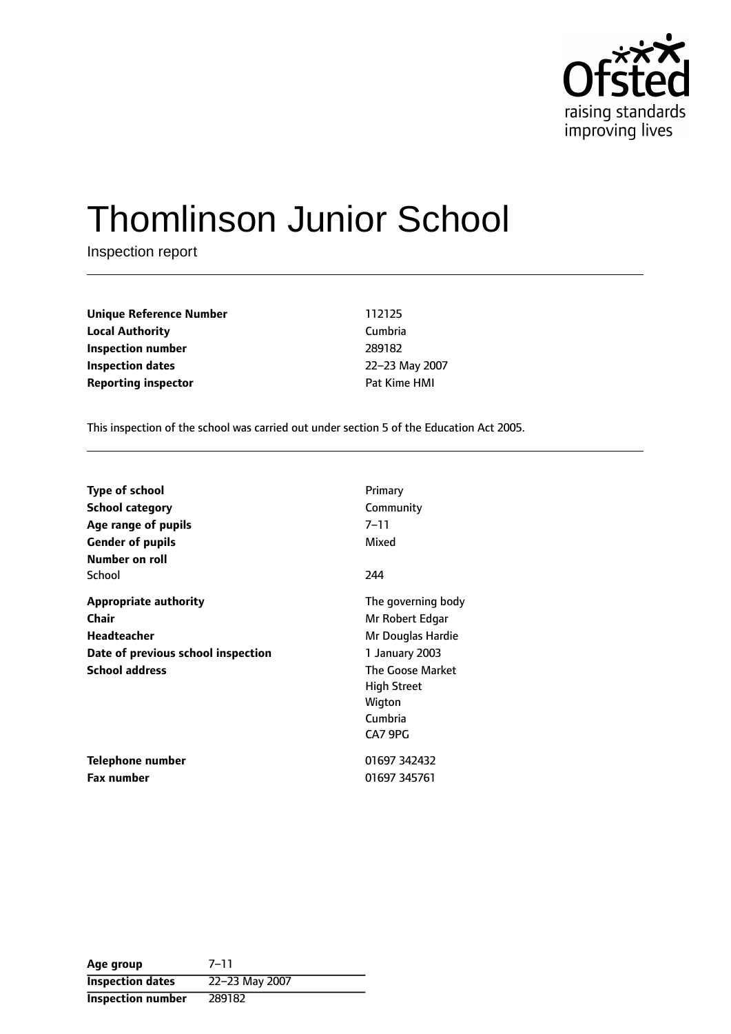

# Thomlinson Junior School

Inspection report

**Unique Reference Number** 112125 **Local Authority** Cumbria **Inspection number** 289182 **Inspection dates** 22-23 May 2007 **Reporting inspector CONFIDENTIAL REPORTING PAT KIME HMI** 

This inspection of the school was carried out under section 5 of the Education Act 2005.

| <b>Type of school</b>              | Primary                 |
|------------------------------------|-------------------------|
| <b>School category</b>             | Community               |
| Age range of pupils                | 7–11                    |
| <b>Gender of pupils</b>            | Mixed                   |
| Number on roll                     |                         |
| School                             | 244                     |
| <b>Appropriate authority</b>       | The governing body      |
| <b>Chair</b>                       | Mr Robert Edgar         |
| <b>Headteacher</b>                 | Mr Douglas Hardie       |
| Date of previous school inspection | 1 January 2003          |
| <b>School address</b>              | <b>The Goose Market</b> |
|                                    | <b>High Street</b>      |
|                                    | Wigton                  |
|                                    | Cumbria                 |
|                                    | CA7 9PG                 |
| Telephone number                   | 01697 342432            |
| <b>Fax number</b>                  | 01697 345761            |

| Age group                | $7 - 11$       |
|--------------------------|----------------|
| <b>Inspection dates</b>  | 22-23 May 2007 |
| <b>Inspection number</b> | 289182         |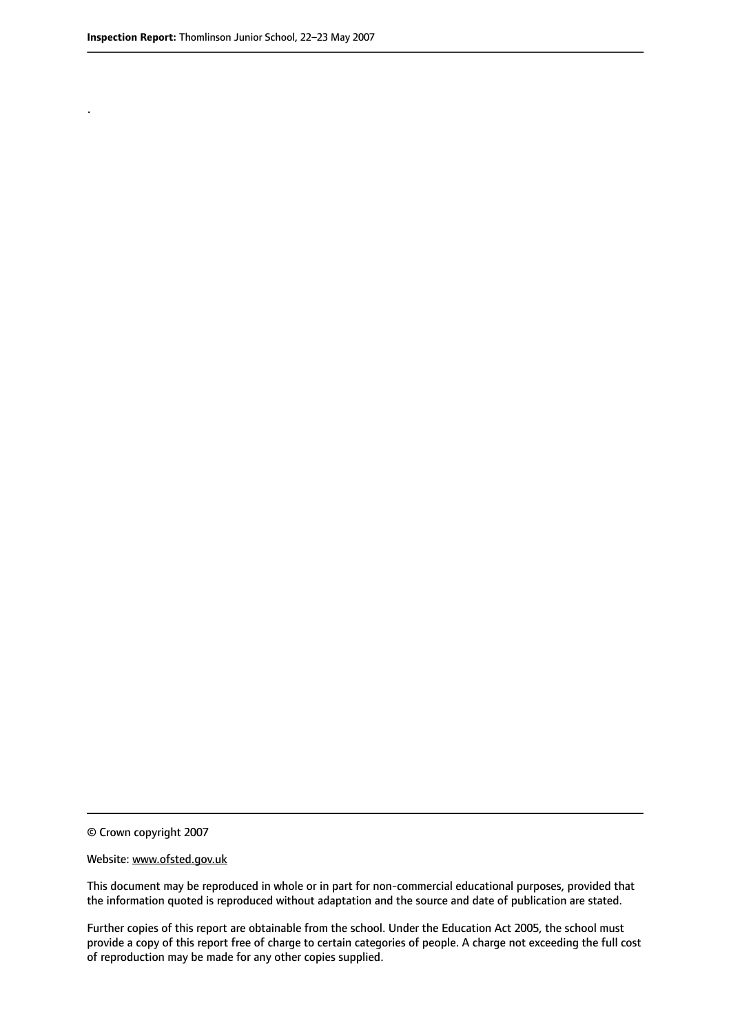.

© Crown copyright 2007

#### Website: www.ofsted.gov.uk

This document may be reproduced in whole or in part for non-commercial educational purposes, provided that the information quoted is reproduced without adaptation and the source and date of publication are stated.

Further copies of this report are obtainable from the school. Under the Education Act 2005, the school must provide a copy of this report free of charge to certain categories of people. A charge not exceeding the full cost of reproduction may be made for any other copies supplied.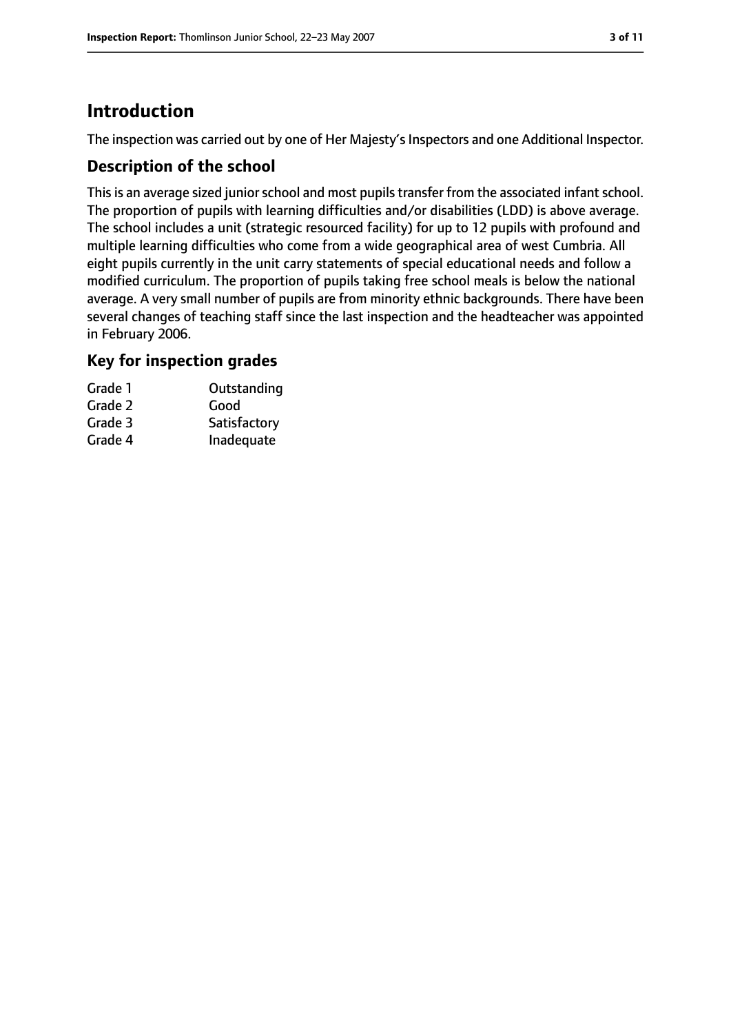# **Introduction**

The inspection was carried out by one of Her Majesty's Inspectors and one Additional Inspector.

# **Description of the school**

This is an average sized junior school and most pupils transfer from the associated infant school. The proportion of pupils with learning difficulties and/or disabilities (LDD) is above average. The school includes a unit (strategic resourced facility) for up to 12 pupils with profound and multiple learning difficulties who come from a wide geographical area of west Cumbria. All eight pupils currently in the unit carry statements of special educational needs and follow a modified curriculum. The proportion of pupils taking free school meals is below the national average. A very small number of pupils are from minority ethnic backgrounds. There have been several changes of teaching staff since the last inspection and the headteacher was appointed in February 2006.

## **Key for inspection grades**

| Grade 1 | Outstanding  |
|---------|--------------|
| Grade 2 | Good         |
| Grade 3 | Satisfactory |
| Grade 4 | Inadequate   |
|         |              |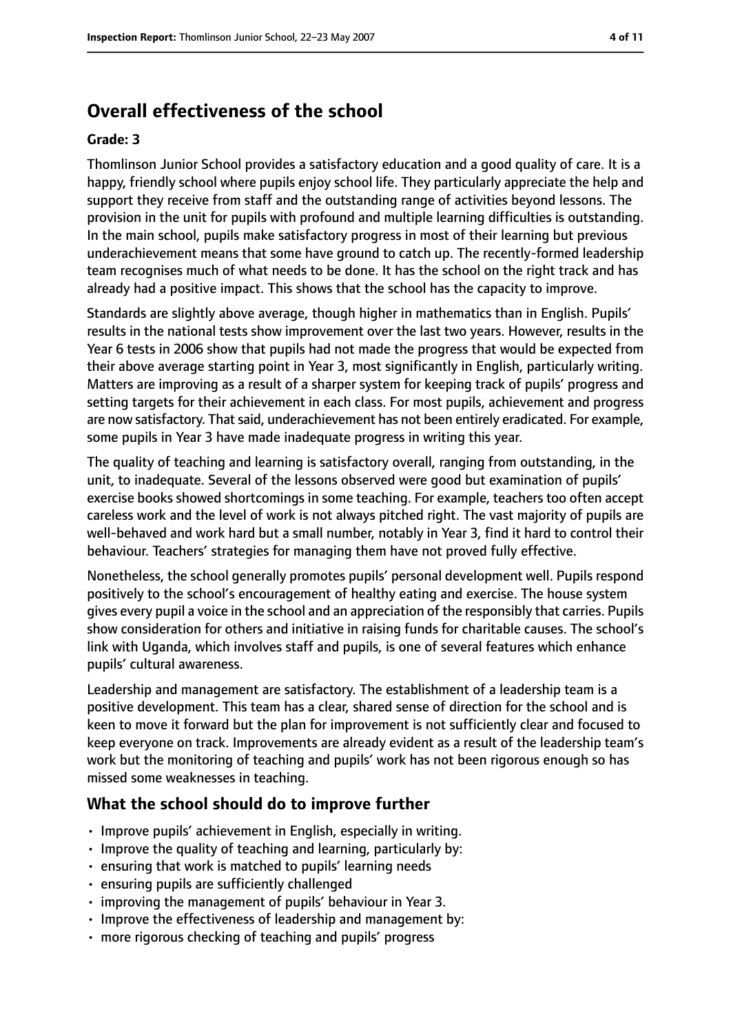# **Overall effectiveness of the school**

#### **Grade: 3**

Thomlinson Junior School provides a satisfactory education and a good quality of care. It is a happy, friendly school where pupils enjoy school life. They particularly appreciate the help and support they receive from staff and the outstanding range of activities beyond lessons. The provision in the unit for pupils with profound and multiple learning difficulties is outstanding. In the main school, pupils make satisfactory progress in most of their learning but previous underachievement means that some have ground to catch up. The recently-formed leadership team recognises much of what needs to be done. It has the school on the right track and has already had a positive impact. This shows that the school has the capacity to improve.

Standards are slightly above average, though higher in mathematics than in English. Pupils' results in the national tests show improvement over the last two years. However, results in the Year 6 tests in 2006 show that pupils had not made the progress that would be expected from their above average starting point in Year 3, most significantly in English, particularly writing. Matters are improving as a result of a sharper system for keeping track of pupils' progress and setting targets for their achievement in each class. For most pupils, achievement and progress are now satisfactory. That said, underachievement has not been entirely eradicated. For example, some pupils in Year 3 have made inadequate progress in writing this year.

The quality of teaching and learning is satisfactory overall, ranging from outstanding, in the unit, to inadequate. Several of the lessons observed were good but examination of pupils' exercise books showed shortcomings in some teaching. For example, teachers too often accept careless work and the level of work is not always pitched right. The vast majority of pupils are well-behaved and work hard but a small number, notably in Year 3, find it hard to control their behaviour. Teachers' strategies for managing them have not proved fully effective.

Nonetheless, the school generally promotes pupils' personal development well. Pupils respond positively to the school's encouragement of healthy eating and exercise. The house system gives every pupil a voice in the school and an appreciation of the responsibly that carries. Pupils show consideration for others and initiative in raising funds for charitable causes. The school's link with Uganda, which involves staff and pupils, is one of several features which enhance pupils' cultural awareness.

Leadership and management are satisfactory. The establishment of a leadership team is a positive development. This team has a clear, shared sense of direction for the school and is keen to move it forward but the plan for improvement is not sufficiently clear and focused to keep everyone on track. Improvements are already evident as a result of the leadership team's work but the monitoring of teaching and pupils' work has not been rigorous enough so has missed some weaknesses in teaching.

#### **What the school should do to improve further**

- Improve pupils' achievement in English, especially in writing.
- Improve the quality of teaching and learning, particularly by:
- ensuring that work is matched to pupils' learning needs
- ensuring pupils are sufficiently challenged
- improving the management of pupils' behaviour in Year 3.
- Improve the effectiveness of leadership and management by:
- more rigorous checking of teaching and pupils' progress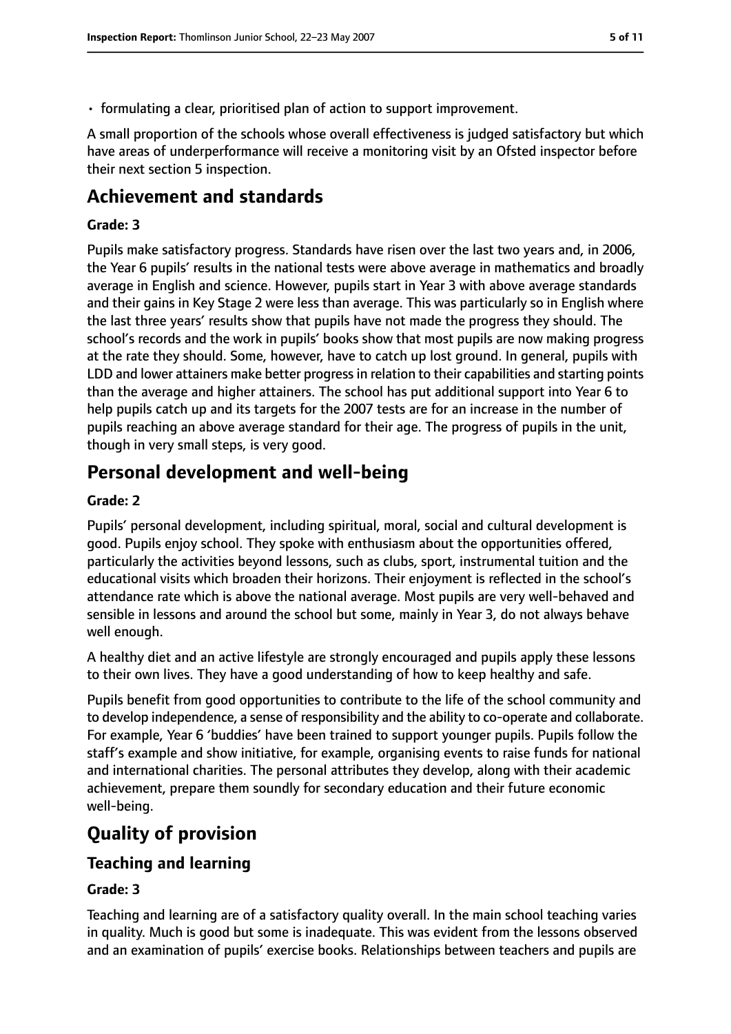• formulating a clear, prioritised plan of action to support improvement.

A small proportion of the schools whose overall effectiveness is judged satisfactory but which have areas of underperformance will receive a monitoring visit by an Ofsted inspector before their next section 5 inspection.

# **Achievement and standards**

## **Grade: 3**

Pupils make satisfactory progress. Standards have risen over the last two years and, in 2006, the Year 6 pupils' results in the national tests were above average in mathematics and broadly average in English and science. However, pupils start in Year 3 with above average standards and their gains in Key Stage 2 were less than average. This was particularly so in English where the last three years' results show that pupils have not made the progress they should. The school's records and the work in pupils' books show that most pupils are now making progress at the rate they should. Some, however, have to catch up lost ground. In general, pupils with LDD and lower attainers make better progress in relation to their capabilities and starting points than the average and higher attainers. The school has put additional support into Year 6 to help pupils catch up and its targets for the 2007 tests are for an increase in the number of pupils reaching an above average standard for their age. The progress of pupils in the unit, though in very small steps, is very good.

# **Personal development and well-being**

### **Grade: 2**

Pupils' personal development, including spiritual, moral, social and cultural development is good. Pupils enjoy school. They spoke with enthusiasm about the opportunities offered, particularly the activities beyond lessons, such as clubs, sport, instrumental tuition and the educational visits which broaden their horizons. Their enjoyment is reflected in the school's attendance rate which is above the national average. Most pupils are very well-behaved and sensible in lessons and around the school but some, mainly in Year 3, do not always behave well enough.

A healthy diet and an active lifestyle are strongly encouraged and pupils apply these lessons to their own lives. They have a good understanding of how to keep healthy and safe.

Pupils benefit from good opportunities to contribute to the life of the school community and to develop independence, a sense of responsibility and the ability to co-operate and collaborate. For example, Year 6 'buddies' have been trained to support younger pupils. Pupils follow the staff's example and show initiative, for example, organising events to raise funds for national and international charities. The personal attributes they develop, along with their academic achievement, prepare them soundly for secondary education and their future economic well-being.

# **Quality of provision**

## **Teaching and learning**

## **Grade: 3**

Teaching and learning are of a satisfactory quality overall. In the main school teaching varies in quality. Much is good but some is inadequate. This was evident from the lessons observed and an examination of pupils' exercise books. Relationships between teachers and pupils are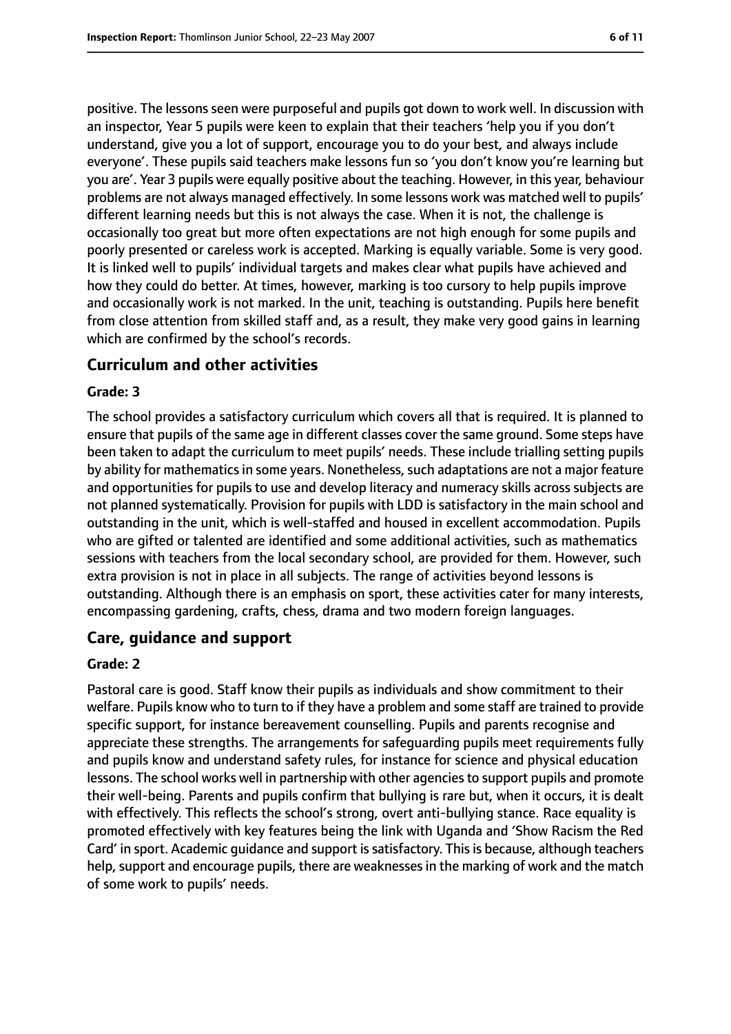positive. The lessons seen were purposeful and pupils got down to work well. In discussion with an inspector, Year 5 pupils were keen to explain that their teachers 'help you if you don't understand, give you a lot of support, encourage you to do your best, and always include everyone'. These pupils said teachers make lessons fun so 'you don't know you're learning but you are'. Year 3 pupils were equally positive about the teaching. However, in this year, behaviour problems are not always managed effectively. In some lessons work was matched well to pupils' different learning needs but this is not always the case. When it is not, the challenge is occasionally too great but more often expectations are not high enough for some pupils and poorly presented or careless work is accepted. Marking is equally variable. Some is very good. It is linked well to pupils' individual targets and makes clear what pupils have achieved and how they could do better. At times, however, marking is too cursory to help pupils improve and occasionally work is not marked. In the unit, teaching is outstanding. Pupils here benefit from close attention from skilled staff and, as a result, they make very good gains in learning which are confirmed by the school's records.

## **Curriculum and other activities**

#### **Grade: 3**

The school provides a satisfactory curriculum which covers all that is required. It is planned to ensure that pupils of the same age in different classes cover the same ground. Some steps have been taken to adapt the curriculum to meet pupils' needs. These include trialling setting pupils by ability for mathematics in some years. Nonetheless, such adaptations are not a major feature and opportunities for pupils to use and develop literacy and numeracy skills across subjects are not planned systematically. Provision for pupils with LDD is satisfactory in the main school and outstanding in the unit, which is well-staffed and housed in excellent accommodation. Pupils who are gifted or talented are identified and some additional activities, such as mathematics sessions with teachers from the local secondary school, are provided for them. However, such extra provision is not in place in all subjects. The range of activities beyond lessons is outstanding. Although there is an emphasis on sport, these activities cater for many interests, encompassing gardening, crafts, chess, drama and two modern foreign languages.

## **Care, guidance and support**

#### **Grade: 2**

Pastoral care is good. Staff know their pupils as individuals and show commitment to their welfare. Pupils know who to turn to if they have a problem and some staff are trained to provide specific support, for instance bereavement counselling. Pupils and parents recognise and appreciate these strengths. The arrangements for safeguarding pupils meet requirements fully and pupils know and understand safety rules, for instance for science and physical education lessons. The school works well in partnership with other agencies to support pupils and promote their well-being. Parents and pupils confirm that bullying is rare but, when it occurs, it is dealt with effectively. This reflects the school's strong, overt anti-bullying stance. Race equality is promoted effectively with key features being the link with Uganda and 'Show Racism the Red Card' in sport. Academic quidance and support is satisfactory. This is because, although teachers help, support and encourage pupils, there are weaknesses in the marking of work and the match of some work to pupils' needs.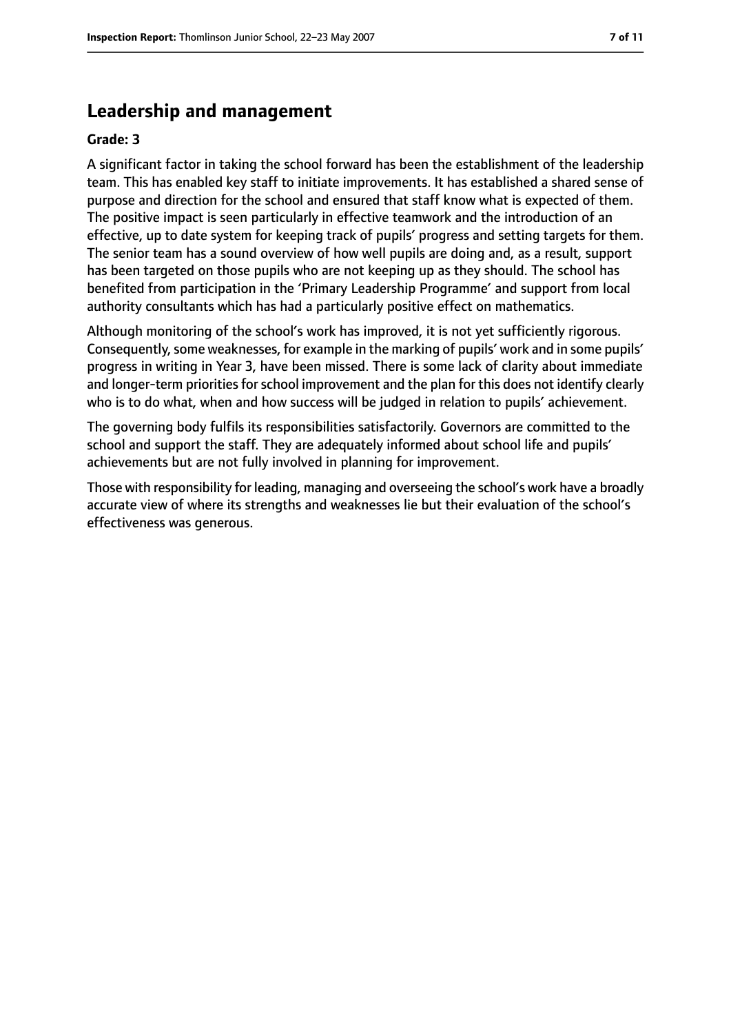# **Leadership and management**

#### **Grade: 3**

A significant factor in taking the school forward has been the establishment of the leadership team. This has enabled key staff to initiate improvements. It has established a shared sense of purpose and direction for the school and ensured that staff know what is expected of them. The positive impact is seen particularly in effective teamwork and the introduction of an effective, up to date system for keeping track of pupils' progress and setting targets for them. The senior team has a sound overview of how well pupils are doing and, as a result, support has been targeted on those pupils who are not keeping up as they should. The school has benefited from participation in the 'Primary Leadership Programme' and support from local authority consultants which has had a particularly positive effect on mathematics.

Although monitoring of the school's work has improved, it is not yet sufficiently rigorous. Consequently, some weaknesses, for example in the marking of pupils' work and in some pupils' progress in writing in Year 3, have been missed. There is some lack of clarity about immediate and longer-term priorities for school improvement and the plan for this does not identify clearly who is to do what, when and how success will be judged in relation to pupils' achievement.

The governing body fulfils its responsibilities satisfactorily. Governors are committed to the school and support the staff. They are adequately informed about school life and pupils' achievements but are not fully involved in planning for improvement.

Those with responsibility for leading, managing and overseeing the school's work have a broadly accurate view of where its strengths and weaknesses lie but their evaluation of the school's effectiveness was generous.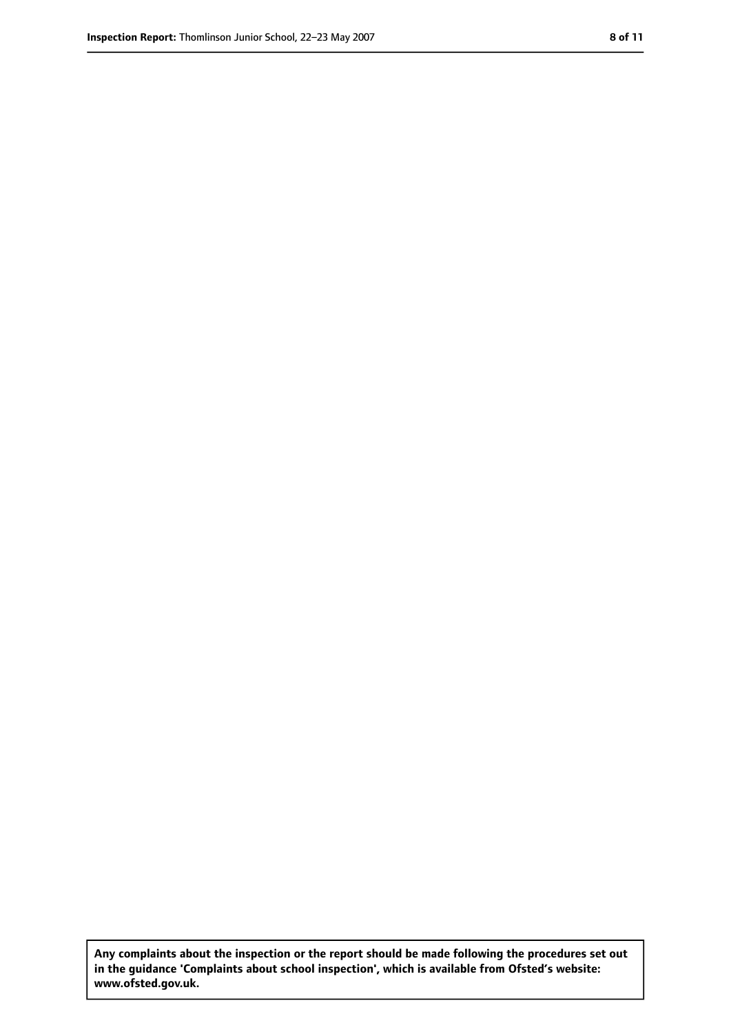**Any complaints about the inspection or the report should be made following the procedures set out in the guidance 'Complaints about school inspection', which is available from Ofsted's website: www.ofsted.gov.uk.**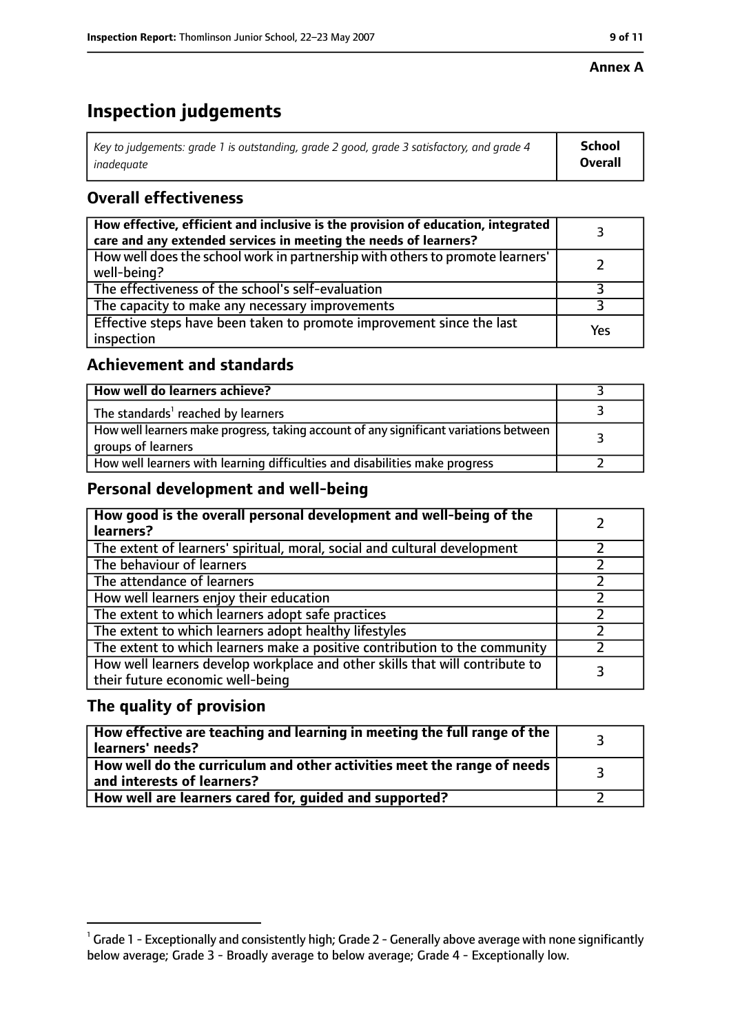## **Annex A**

# **Inspection judgements**

| Key to judgements: grade 1 is outstanding, grade 2 good, grade 3 satisfactory, and grade 4 $\,$ | <b>School</b>  |
|-------------------------------------------------------------------------------------------------|----------------|
| inadequate                                                                                      | <b>Overall</b> |

# **Overall effectiveness**

| How effective, efficient and inclusive is the provision of education, integrated<br>care and any extended services in meeting the needs of learners? |     |
|------------------------------------------------------------------------------------------------------------------------------------------------------|-----|
| How well does the school work in partnership with others to promote learners'<br>well-being?                                                         |     |
| The effectiveness of the school's self-evaluation                                                                                                    |     |
| The capacity to make any necessary improvements                                                                                                      |     |
| Effective steps have been taken to promote improvement since the last<br>inspection                                                                  | Yes |

# **Achievement and standards**

| How well do learners achieve?                                                                               |  |
|-------------------------------------------------------------------------------------------------------------|--|
| The standards <sup>1</sup> reached by learners                                                              |  |
| How well learners make progress, taking account of any significant variations between<br>groups of learners |  |
| How well learners with learning difficulties and disabilities make progress                                 |  |

# **Personal development and well-being**

| How good is the overall personal development and well-being of the<br>learners?                                  |  |
|------------------------------------------------------------------------------------------------------------------|--|
| The extent of learners' spiritual, moral, social and cultural development                                        |  |
| The behaviour of learners                                                                                        |  |
| The attendance of learners                                                                                       |  |
| How well learners enjoy their education                                                                          |  |
| The extent to which learners adopt safe practices                                                                |  |
| The extent to which learners adopt healthy lifestyles                                                            |  |
| The extent to which learners make a positive contribution to the community                                       |  |
| How well learners develop workplace and other skills that will contribute to<br>their future economic well-being |  |

# **The quality of provision**

| How effective are teaching and learning in meeting the full range of the<br>learners' needs?          |  |
|-------------------------------------------------------------------------------------------------------|--|
| How well do the curriculum and other activities meet the range of needs<br>and interests of learners? |  |
| How well are learners cared for, quided and supported?                                                |  |

 $^1$  Grade 1 - Exceptionally and consistently high; Grade 2 - Generally above average with none significantly below average; Grade 3 - Broadly average to below average; Grade 4 - Exceptionally low.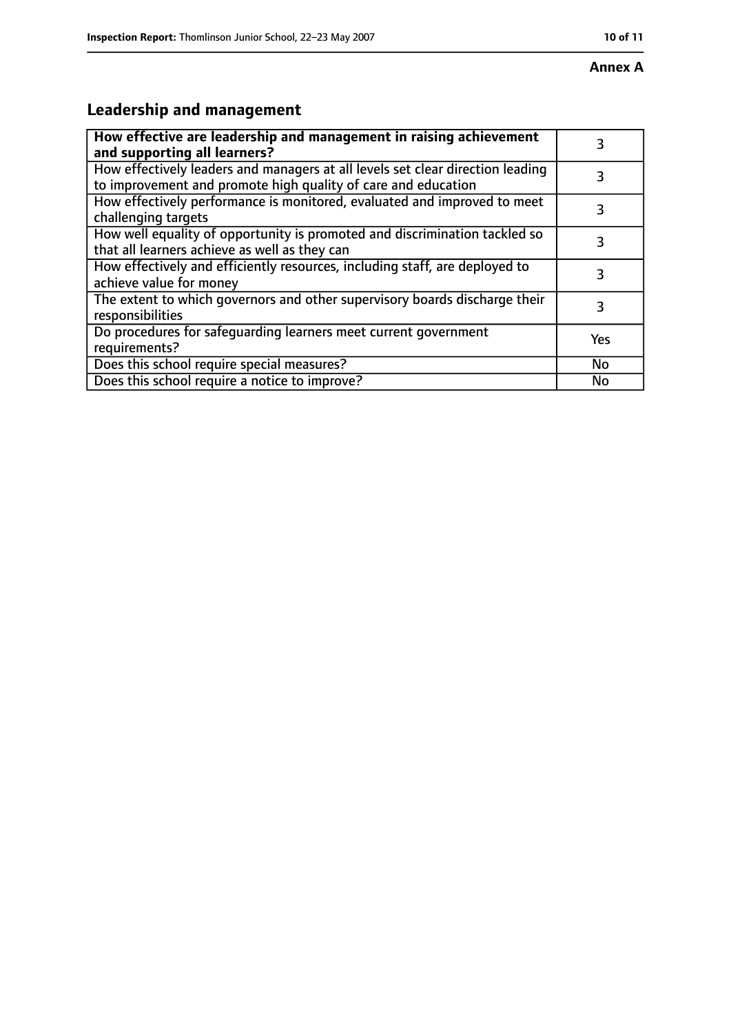# **Leadership and management**

| How effective are leadership and management in raising achievement<br>and supporting all learners?                                              | 3         |
|-------------------------------------------------------------------------------------------------------------------------------------------------|-----------|
| How effectively leaders and managers at all levels set clear direction leading<br>to improvement and promote high quality of care and education |           |
| How effectively performance is monitored, evaluated and improved to meet<br>challenging targets                                                 | 3         |
| How well equality of opportunity is promoted and discrimination tackled so<br>that all learners achieve as well as they can                     | 3         |
| How effectively and efficiently resources, including staff, are deployed to<br>achieve value for money                                          | 3         |
| The extent to which governors and other supervisory boards discharge their<br>responsibilities                                                  | 3         |
| Do procedures for safequarding learners meet current government<br>requirements?                                                                | Yes       |
| Does this school require special measures?                                                                                                      | <b>No</b> |
| Does this school require a notice to improve?                                                                                                   | Nο        |